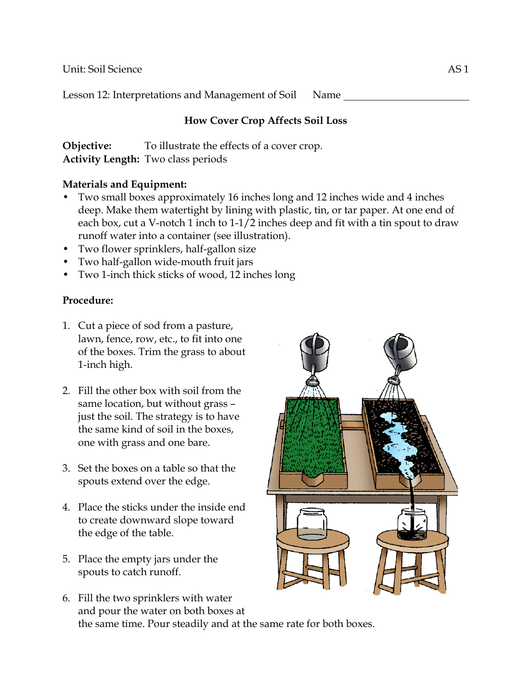Unit: Soil Science AS 1

Lesson 12: Interpretations and Management of Soil Name

# **How Cover Crop Affects Soil Loss**

**Objective:** To illustrate the effects of a cover crop. **Activity Length:** Two class periods

#### **Materials and Equipment:**

- Two small boxes approximately 16 inches long and 12 inches wide and 4 inches deep. Make them watertight by lining with plastic, tin, or tar paper. At one end of each box, cut a V-notch 1 inch to 1-1/2 inches deep and fit with a tin spout to draw runoff water into a container (see illustration).
- Two flower sprinklers, half-gallon size
- Two half-gallon wide-mouth fruit jars
- Two 1-inch thick sticks of wood, 12 inches long

## **Procedure:**

- 1. Cut a piece of sod from a pasture, lawn, fence, row, etc., to fit into one of the boxes. Trim the grass to about 1-inch high.
- 2. Fill the other box with soil from the same location, but without grass – just the soil. The strategy is to have the same kind of soil in the boxes, one with grass and one bare.
- 3. Set the boxes on a table so that the spouts extend over the edge.
- 4. Place the sticks under the inside end to create downward slope toward the edge of the table.
- 5. Place the empty jars under the spouts to catch runoff.



6. Fill the two sprinklers with water and pour the water on both boxes at the same time. Pour steadily and at the same rate for both boxes.